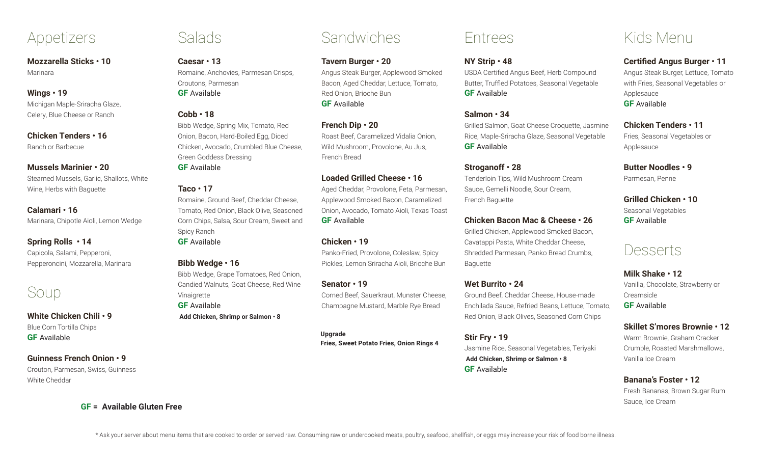## Appetizers

**Mozzarella Sticks • 10** Marinara

#### **Wings • 19**

Michigan Maple-Sriracha Glaze, Celery, Blue Cheese or Ranch

**Chicken Tenders • 16** Ranch or Barbecue

### **Mussels Marinier • 20**

Steamed Mussels, Garlic, Shallots, White Wine, Herbs with Baguette

#### **Calamari • 16**

Marinara, Chipotle Aioli, Lemon Wedge

### **Spring Rolls • 14**

Capicola, Salami, Pepperoni, Pepperoncini, Mozzarella, Marinara

# Soup

**White Chicken Chili • 9** Blue Corn Tortilla Chips **GF** Available

### **Guinness French Onion • 9**

Crouton, Parmesan, Swiss, Guinness White Cheddar

**GF = Available Gluten Free**

### Salads

**Caesar • 13** Romaine, Anchovies, Parmesan Crisps, Croutons, Parmesan **GF** Available

### **Cobb • 18**

Bibb Wedge, Spring Mix, Tomato, Red Onion, Bacon, Hard-Boiled Egg, Diced Chicken, Avocado, Crumbled Blue Cheese, Green Goddess Dressing

**GF** Available

### **Taco • 17**

Romaine, Ground Beef, Cheddar Cheese, Tomato, Red Onion, Black Olive, Seasoned Corn Chips, Salsa, Sour Cream, Sweet and Spicy Ranch

**GF** Available

### **Bibb Wedge • 16**

Bibb Wedge, Grape Tomatoes, Red Onion, Candied Walnuts, Goat Cheese, Red Wine Vinaigrette **GF** Available

 **Add Chicken, Shrimp or Salmon • 8**

### **Upgrade**

**Fries, Sweet Potato Fries, Onion Rings 4**

Corned Beef, Sauerkraut, Munster Cheese, Champagne Mustard, Marble Rye Bread

**Sandwiches** 

Angus Steak Burger, Applewood Smoked Bacon, Aged Cheddar, Lettuce, Tomato,

Roast Beef, Caramelized Vidalia Onion, Wild Mushroom, Provolone, Au Jus,

**Loaded Grilled Cheese • 16**

Aged Cheddar, Provolone, Feta, Parmesan, Applewood Smoked Bacon, Caramelized Onion, Avocado, Tomato Aioli, Texas Toast

Panko-Fried, Provolone, Coleslaw, Spicy Pickles, Lemon Sriracha Aioli, Brioche Bun

**Tavern Burger • 20**

Red Onion, Brioche Bun

**GF** Available

French Bread

**GF** Available

**Chicken • 19**

**Senator • 19**

**French Dip • 20**

### Entrees

### **NY Strip • 48**

USDA Certified Angus Beef, Herb Compound Butter, Truffled Potatoes, Seasonal Vegetable **GF** Available

### **Salmon • 34**

Grilled Salmon, Goat Cheese Croquette, Jasmine Rice, Maple-Sriracha Glaze, Seasonal Vegetable **GF** Available

### **Stroganoff • 28**

Tenderloin Tips, Wild Mushroom Cream Sauce, Gemelli Noodle, Sour Cream, French Baguette

### **Chicken Bacon Mac & Cheese • 26**

Grilled Chicken, Applewood Smoked Bacon, Cavatappi Pasta, White Cheddar Cheese, Shredded Parmesan, Panko Bread Crumbs, Baguette

### **Wet Burrito • 24** Ground Beef, Cheddar Cheese, House-made

Enchilada Sauce, Refried Beans, Lettuce, Tomato, Red Onion, Black Olives, Seasoned Corn Chips

**Stir Fry • 19** Jasmine Rice, Seasonal Vegetables, Teriyaki  **Add Chicken, Shrimp or Salmon • 8 GF** Available

# Kids Menu

### **Certified Angus Burger • 11**

Angus Steak Burger, Lettuce, Tomato with Fries, Seasonal Vegetables or Applesauce **GF** Available

**Chicken Tenders • 11**  Fries, Seasonal Vegetables or Applesauce

**Butter Noodles • 9** Parmesan, Penne

**Grilled Chicken • 10** Seasonal Vegetables **GF** Available

## Desserts

**Milk Shake • 12** Vanilla, Chocolate, Strawberry or Creamsicle **GF** Available

**Skillet S'mores Brownie • 12** Warm Brownie, Graham Cracker Crumble, Roasted Marshmallows,

### **Banana's Foster • 12**

Vanilla Ice Cream

Fresh Bananas, Brown Sugar Rum Sauce, Ice Cream